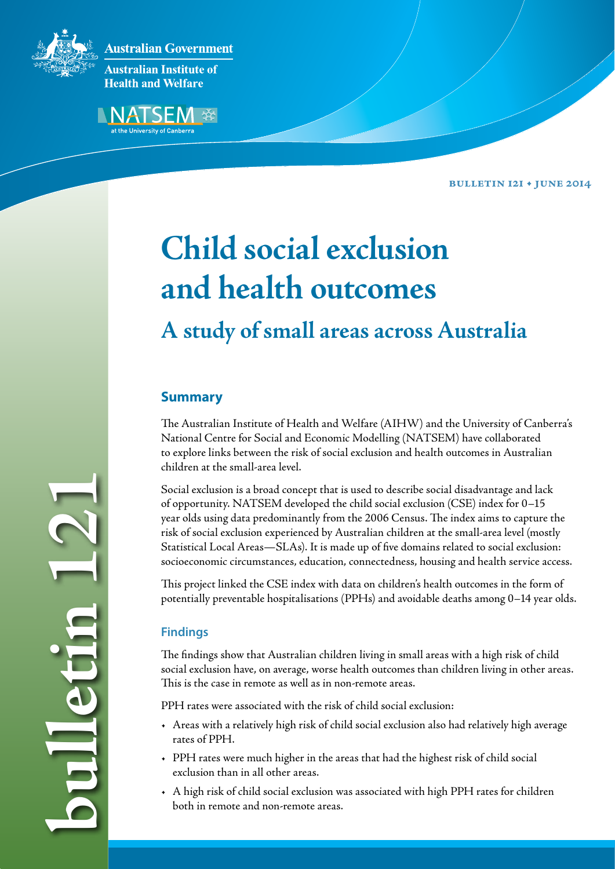

**Bulletin 121 • June 2014**

# **Child social exclusion and health outcomes A study of small areas across Australia**

# **Summary**

The Australian Institute of Health and Welfare (AIHW) and the University of Canberra's National Centre for Social and Economic Modelling (NATSEM) have collaborated to explore links between the risk of social exclusion and health outcomes in Australian children at the small-area level.

Social exclusion is a broad concept that is used to describe social disadvantage and lack of opportunity. NATSEM developed the child social exclusion (CSE) index for 0–15 year olds using data predominantly from the 2006 Census. The index aims to capture the risk of social exclusion experienced by Australian children at the small-area level (mostly Statistical Local Areas—SLAs). It is made up of five domains related to social exclusion: socioeconomic circumstances, education, connectedness, housing and health service access.

This project linked the CSE index with data on children's health outcomes in the form of potentially preventable hospitalisations (PPHs) and avoidable deaths among 0–14 year olds.

## **Findings**

**bulletin 121**

The findings show that Australian children living in small areas with a high risk of child social exclusion have, on average, worse health outcomes than children living in other areas. This is the case in remote as well as in non-remote areas.

PPH rates were associated with the risk of child social exclusion:

- • Areas with a relatively high risk of child social exclusion also had relatively high average rates of PPH.
- • PPH rates were much higher in the areas that had the highest risk of child social exclusion than in all other areas.
- • A high risk of child social exclusion was associated with high PPH rates for children both in remote and non-remote areas.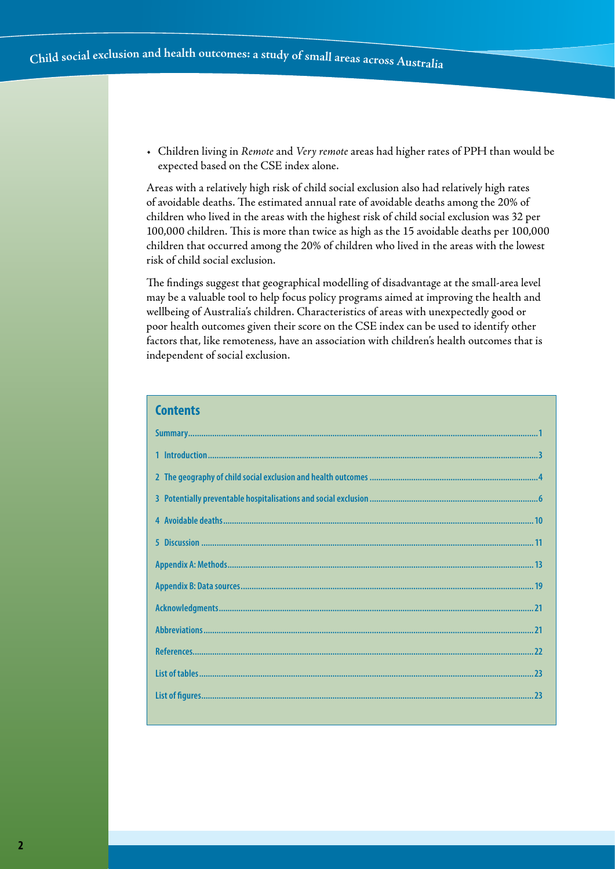• Children living in *Remote* and *Very remote* areas had higher rates of PPH than would be expected based on the CSE index alone.

Areas with a relatively high risk of child social exclusion also had relatively high rates of avoidable deaths. The estimated annual rate of avoidable deaths among the 20% of children who lived in the areas with the highest risk of child social exclusion was 32 per 100,000 children. This is more than twice as high as the 15 avoidable deaths per 100,000 children that occurred among the 20% of children who lived in the areas with the lowest risk of child social exclusion.

The findings suggest that geographical modelling of disadvantage at the small-area level may be a valuable tool to help focus policy programs aimed at improving the health and wellbeing of Australia's children. Characteristics of areas with unexpectedly good or poor health outcomes given their score on the CSE index can be used to identify other factors that, like remoteness, have an association with children's health outcomes that is independent of social exclusion.

| <b>Contents</b> |
|-----------------|
|                 |
|                 |
|                 |
|                 |
|                 |
|                 |
|                 |
|                 |
|                 |
|                 |
|                 |
|                 |
|                 |
|                 |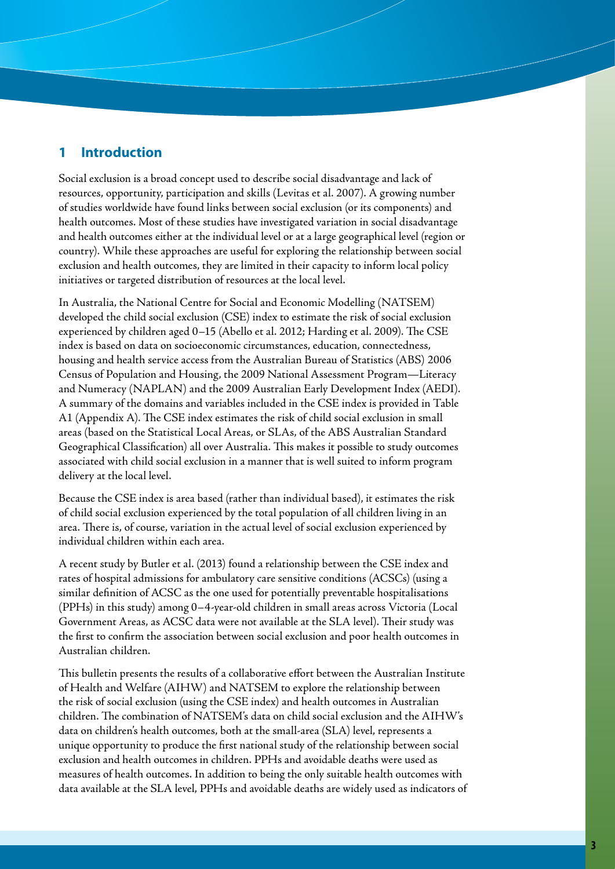# **1 Introduction**

Social exclusion is a broad concept used to describe social disadvantage and lack of resources, opportunity, participation and skills (Levitas et al. 2007). A growing number of studies worldwide have found links between social exclusion (or its components) and health outcomes. Most of these studies have investigated variation in social disadvantage and health outcomes either at the individual level or at a large geographical level (region or country). While these approaches are useful for exploring the relationship between social exclusion and health outcomes, they are limited in their capacity to inform local policy initiatives or targeted distribution of resources at the local level.

In Australia, the National Centre for Social and Economic Modelling (NATSEM) developed the child social exclusion (CSE) index to estimate the risk of social exclusion experienced by children aged 0–15 (Abello et al. 2012; Harding et al. 2009). The CSE index is based on data on socioeconomic circumstances, education, connectedness, housing and health service access from the Australian Bureau of Statistics (ABS) 2006 Census of Population and Housing, the 2009 National Assessment Program—Literacy and Numeracy (NAPLAN) and the 2009 Australian Early Development Index (AEDI). A summary of the domains and variables included in the CSE index is provided in Table A1 (Appendix A). The CSE index estimates the risk of child social exclusion in small areas (based on the Statistical Local Areas, or SLAs, of the ABS Australian Standard Geographical Classification) all over Australia. This makes it possible to study outcomes associated with child social exclusion in a manner that is well suited to inform program delivery at the local level.

Because the CSE index is area based (rather than individual based), it estimates the risk of child social exclusion experienced by the total population of all children living in an area. There is, of course, variation in the actual level of social exclusion experienced by individual children within each area.

A recent study by Butler et al. (2013) found a relationship between the CSE index and rates of hospital admissions for ambulatory care sensitive conditions (ACSCs) (using a similar definition of ACSC as the one used for potentially preventable hospitalisations (PPHs) in this study) among 0–4-year-old children in small areas across Victoria (Local Government Areas, as ACSC data were not available at the SLA level). Their study was the first to confirm the association between social exclusion and poor health outcomes in Australian children.

This bulletin presents the results of a collaborative effort between the Australian Institute of Health and Welfare (AIHW) and NATSEM to explore the relationship between the risk of social exclusion (using the CSE index) and health outcomes in Australian children. The combination of NATSEM's data on child social exclusion and the AIHW's data on children's health outcomes, both at the small-area (SLA) level, represents a unique opportunity to produce the first national study of the relationship between social exclusion and health outcomes in children. PPHs and avoidable deaths were used as measures of health outcomes. In addition to being the only suitable health outcomes with data available at the SLA level, PPHs and avoidable deaths are widely used as indicators of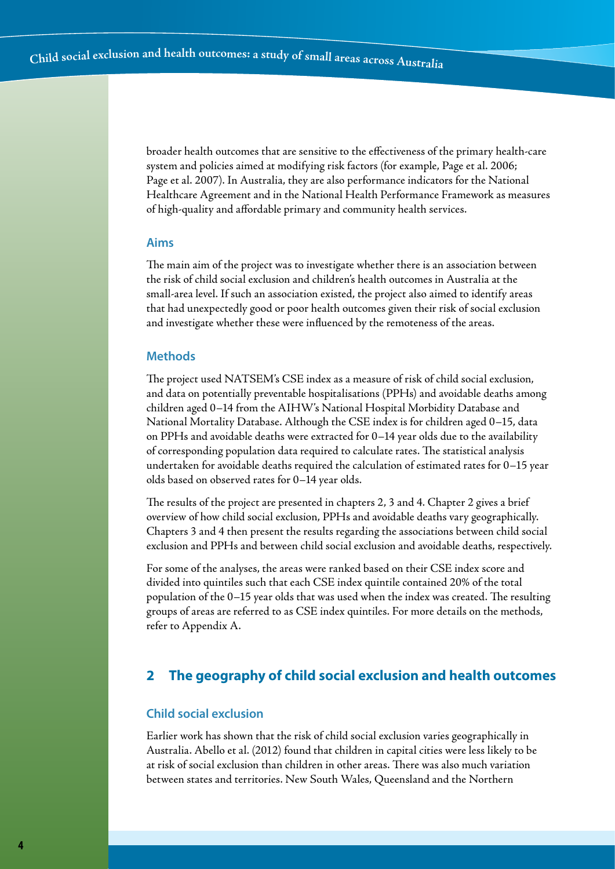broader health outcomes that are sensitive to the effectiveness of the primary health-care system and policies aimed at modifying risk factors (for example, Page et al. 2006; Page et al. 2007). In Australia, they are also performance indicators for the National Healthcare Agreement and in the National Health Performance Framework as measures of high-quality and affordable primary and community health services.

#### **Aims**

The main aim of the project was to investigate whether there is an association between the risk of child social exclusion and children's health outcomes in Australia at the small-area level. If such an association existed, the project also aimed to identify areas that had unexpectedly good or poor health outcomes given their risk of social exclusion and investigate whether these were influenced by the remoteness of the areas.

#### **Methods**

The project used NATSEM's CSE index as a measure of risk of child social exclusion, and data on potentially preventable hospitalisations (PPHs) and avoidable deaths among children aged 0–14 from the AIHW's National Hospital Morbidity Database and National Mortality Database. Although the CSE index is for children aged 0–15, data on PPHs and avoidable deaths were extracted for 0–14 year olds due to the availability of corresponding population data required to calculate rates. The statistical analysis undertaken for avoidable deaths required the calculation of estimated rates for 0–15 year olds based on observed rates for 0–14 year olds.

The results of the project are presented in chapters 2, 3 and 4. Chapter 2 gives a brief overview of how child social exclusion, PPHs and avoidable deaths vary geographically. Chapters 3 and 4 then present the results regarding the associations between child social exclusion and PPHs and between child social exclusion and avoidable deaths, respectively.

For some of the analyses, the areas were ranked based on their CSE index score and divided into quintiles such that each CSE index quintile contained 20% of the total population of the 0–15 year olds that was used when the index was created. The resulting groups of areas are referred to as CSE index quintiles. For more details on the methods, refer to Appendix A.

# **2 The geography of child social exclusion and health outcomes**

#### **Child social exclusion**

Earlier work has shown that the risk of child social exclusion varies geographically in Australia. Abello et al. (2012) found that children in capital cities were less likely to be at risk of social exclusion than children in other areas. There was also much variation between states and territories. New South Wales, Queensland and the Northern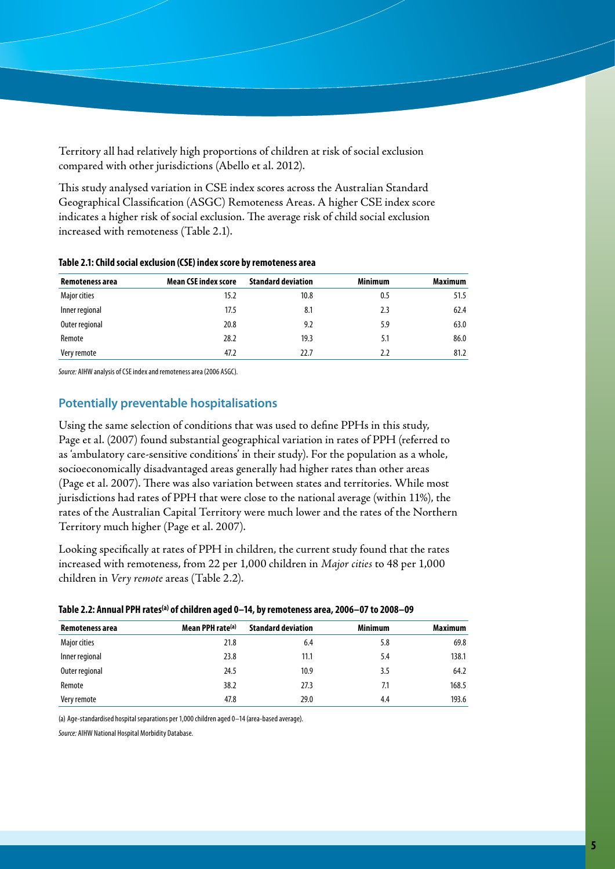Territory all had relatively high proportions of children at risk of social exclusion compared with other jurisdictions (Abello et al. 2012).

This study analysed variation in CSE index scores across the Australian Standard Geographical Classification (ASGC) Remoteness Areas. A higher CSE index score indicates a higher risk of social exclusion. The average risk of child social exclusion increased with remoteness (Table 2.1).

| Remoteness area | <b>Mean CSE index score</b> | <b>Standard deviation</b> | <b>Minimum</b> | <b>Maximum</b> |
|-----------------|-----------------------------|---------------------------|----------------|----------------|
| Major cities    | 15.2                        | 10.8                      | 0.5            | 51.5           |
| Inner regional  | 17.5                        | 8.1                       | 2.3            | 62.4           |
| Outer regional  | 20.8                        | 9.2                       | 5.9            | 63.0           |
| Remote          | 28.2                        | 19.3                      | 5.1            | 86.0           |
| Very remote     | 47.2                        | 22.7                      | 2.2            | 81.2           |

#### **Table 2.1: Child social exclusion (CSE) index score by remoteness area**

*Source:* AIHW analysis of CSE index and remoteness area (2006 ASGC).

#### **Potentially preventable hospitalisations**

Using the same selection of conditions that was used to define PPHs in this study, Page et al. (2007) found substantial geographical variation in rates of PPH (referred to as 'ambulatory care-sensitive conditions' in their study). For the population as a whole, socioeconomically disadvantaged areas generally had higher rates than other areas (Page et al. 2007). There was also variation between states and territories. While most jurisdictions had rates of PPH that were close to the national average (within 11%), the rates of the Australian Capital Territory were much lower and the rates of the Northern Territory much higher (Page et al. 2007).

Looking specifically at rates of PPH in children, the current study found that the rates increased with remoteness, from 22 per 1,000 children in *Major cities* to 48 per 1,000 children in *Very remote* areas (Table 2.2).

|  | Table 2.2: Annual PPH rates <sup>(a)</sup> of children aged 0–14, by remoteness area, 2006–07 to 2008–09 |  |  |
|--|----------------------------------------------------------------------------------------------------------|--|--|
|--|----------------------------------------------------------------------------------------------------------|--|--|

| Remoteness area | Mean PPH rate <sup>(a)</sup> | <b>Standard deviation</b> | <b>Minimum</b> | <b>Maximum</b> |
|-----------------|------------------------------|---------------------------|----------------|----------------|
| Major cities    | 21.8                         | 6.4                       | 5.8            | 69.8           |
| Inner regional  | 23.8                         | 11.1                      | 5.4            | 138.1          |
| Outer regional  | 24.5                         | 10.9                      | 3.5            | 64.2           |
| Remote          | 38.2                         | 27.3                      | 7.1            | 168.5          |
| Very remote     | 47.8                         | 29.0                      | 4.4            | 193.6          |

(a) Age-standardised hospital separations per 1,000 children aged 0–14 (area-based average).

*Source:* AIHW National Hospital Morbidity Database.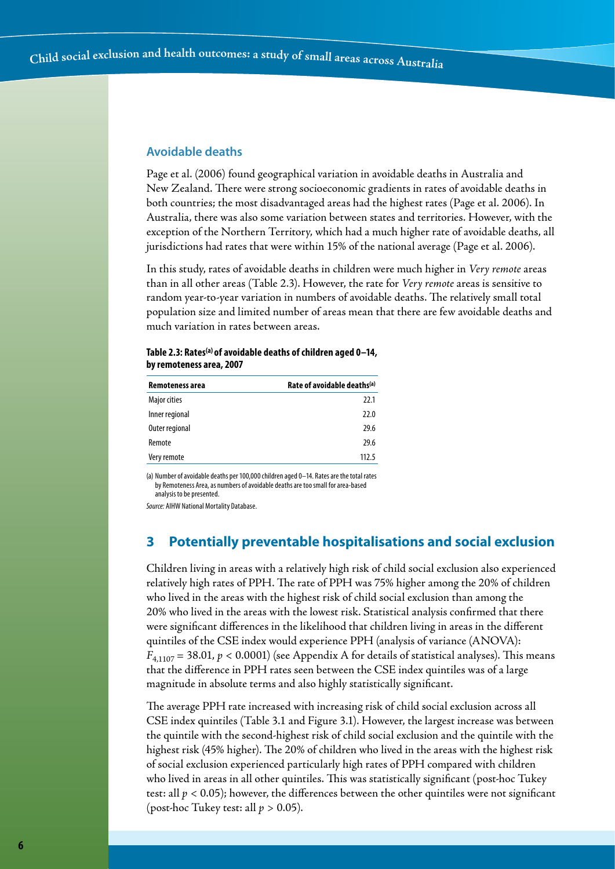#### **Avoidable deaths**

Page et al. (2006) found geographical variation in avoidable deaths in Australia and New Zealand. There were strong socioeconomic gradients in rates of avoidable deaths in both countries; the most disadvantaged areas had the highest rates (Page et al. 2006). In Australia, there was also some variation between states and territories. However, with the exception of the Northern Territory, which had a much higher rate of avoidable deaths, all jurisdictions had rates that were within 15% of the national average (Page et al. 2006).

In this study, rates of avoidable deaths in children were much higher in *Very remote* areas than in all other areas (Table 2.3). However, the rate for *Very remote* areas is sensitive to random year-to-year variation in numbers of avoidable deaths. The relatively small total population size and limited number of areas mean that there are few avoidable deaths and much variation in rates between areas.

| Remoteness area | Rate of avoidable deaths(a) |
|-----------------|-----------------------------|
| Major cities    | 22.1                        |
| Inner regional  | 22.0                        |
| Outer regional  | 29.6                        |
| Remote          | 29.6                        |
| Very remote     | 112.5                       |

| Table 2.3: Rates <sup>(a)</sup> of avoidable deaths of children aged 0-14, |
|----------------------------------------------------------------------------|
| by remoteness area, 2007                                                   |

(a) Number of avoidable deaths per 100,000 children aged 0–14. Rates are the total rates by Remoteness Area, as numbers of avoidable deaths are too small for area-based analysis to be presented.

*Source:* AIHW National Mortality Database.

## **3 Potentially preventable hospitalisations and social exclusion**

Children living in areas with a relatively high risk of child social exclusion also experienced relatively high rates of PPH. The rate of PPH was 75% higher among the 20% of children who lived in the areas with the highest risk of child social exclusion than among the 20% who lived in the areas with the lowest risk. Statistical analysis confirmed that there were significant differences in the likelihood that children living in areas in the different quintiles of the CSE index would experience PPH (analysis of variance (ANOVA):  $F_{4,1107}$  = 38.01,  $p < 0.0001$ ) (see Appendix A for details of statistical analyses). This means that the difference in PPH rates seen between the CSE index quintiles was of a large magnitude in absolute terms and also highly statistically significant.

The average PPH rate increased with increasing risk of child social exclusion across all CSE index quintiles (Table 3.1 and Figure 3.1). However, the largest increase was between the quintile with the second-highest risk of child social exclusion and the quintile with the highest risk (45% higher). The 20% of children who lived in the areas with the highest risk of social exclusion experienced particularly high rates of PPH compared with children who lived in areas in all other quintiles. This was statistically significant (post-hoc Tukey test: all *p* < 0.05); however, the differences between the other quintiles were not significant (post-hoc Tukey test: all  $p > 0.05$ ).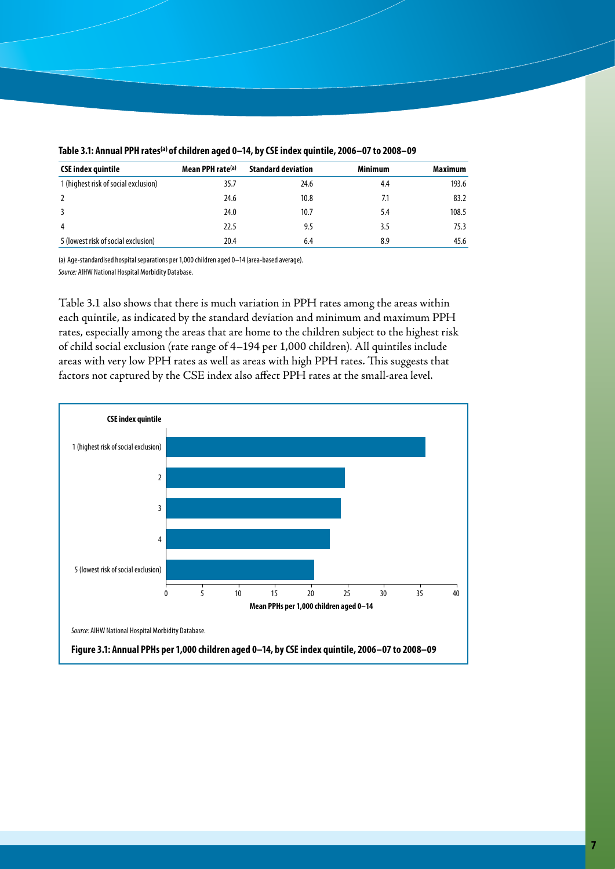| <b>CSE index quintile</b>            | Mean PPH rate <sup>(a)</sup> | <b>Standard deviation</b> | <b>Minimum</b> | <b>Maximum</b> |
|--------------------------------------|------------------------------|---------------------------|----------------|----------------|
| 1 (highest risk of social exclusion) | 35.7                         | 24.6                      | 4.4            | 193.6          |
|                                      | 24.6                         | 10.8                      | 7.1            | 83.2           |
|                                      | 24.0                         | 10.7                      | 5.4            | 108.5          |
| 4                                    | 22.5                         | 9.5                       | 3.5            | 75.3           |
| 5 (lowest risk of social exclusion)  | 20.4                         | 6.4                       | 8.9            | 45.6           |

#### Table 3.1: Annual PPH rates<sup>(a)</sup> of children aged 0-14, by CSE index quintile, 2006-07 to 2008-09

(a) Age-standardised hospital separations per 1,000 children aged 0–14 (area-based average). *Source:* AIHW National Hospital Morbidity Database.

Table 3.1 also shows that there is much variation in PPH rates among the areas within each quintile, as indicated by the standard deviation and minimum and maximum PPH rates, especially among the areas that are home to the children subject to the highest risk of child social exclusion (rate range of 4–194 per 1,000 children). All quintiles include areas with very low PPH rates as well as areas with high PPH rates. This suggests that factors not captured by the CSE index also affect PPH rates at the small-area level.

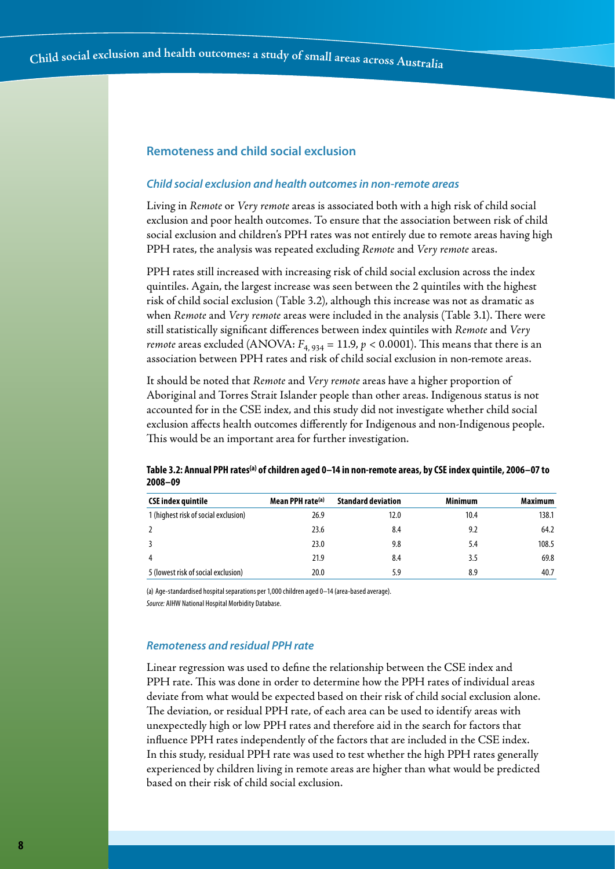#### **Remoteness and child social exclusion**

#### *Child social exclusion and health outcomes in non-remote areas*

Living in *Remote* or *Very remote* areas is associated both with a high risk of child social exclusion and poor health outcomes. To ensure that the association between risk of child social exclusion and children's PPH rates was not entirely due to remote areas having high PPH rates, the analysis was repeated excluding *Remote* and *Very remote* areas.

PPH rates still increased with increasing risk of child social exclusion across the index quintiles. Again, the largest increase was seen between the 2 quintiles with the highest risk of child social exclusion (Table 3.2), although this increase was not as dramatic as when *Remote* and *Very remote* areas were included in the analysis (Table 3.1). There were still statistically significant differences between index quintiles with *Remote* and *Very remote* areas excluded (ANOVA:  $F_{4, 934} = 11.9$ ,  $p < 0.0001$ ). This means that there is an association between PPH rates and risk of child social exclusion in non-remote areas.

It should be noted that *Remote* and *Very remote* areas have a higher proportion of Aboriginal and Torres Strait Islander people than other areas. Indigenous status is not accounted for in the CSE index, and this study did not investigate whether child social exclusion affects health outcomes differently for Indigenous and non-Indigenous people. This would be an important area for further investigation.

| <b>CSE index quintile</b>            | Mean PPH rate <sup>(a)</sup> | <b>Standard deviation</b> | <b>Minimum</b> | <b>Maximum</b> |
|--------------------------------------|------------------------------|---------------------------|----------------|----------------|
| 1 (highest risk of social exclusion) | 26.9                         | 12.0                      | 10.4           | 138.1          |
| 2                                    | 23.6                         | 8.4                       | 9.2            | 64.2           |
| 3                                    | 23.0                         | 9.8                       | 5.4            | 108.5          |
| 4                                    | 21.9                         | 8.4                       | 3.5            | 69.8           |
| 5 (lowest risk of social exclusion)  | 20.0                         | 5.9                       | 8.9            | 40.7           |

#### **Table 3.2: Annual PPH rates(a) of children aged 0–14 in non-remote areas, by CSE index quintile, 2006–07 to 2008–09**

(a) Age-standardised hospital separations per 1,000 children aged 0–14 (area-based average). *Source:* AIHW National Hospital Morbidity Database.

#### *Remoteness and residual PPH rate*

Linear regression was used to define the relationship between the CSE index and PPH rate. This was done in order to determine how the PPH rates of individual areas deviate from what would be expected based on their risk of child social exclusion alone. The deviation, or residual PPH rate, of each area can be used to identify areas with unexpectedly high or low PPH rates and therefore aid in the search for factors that influence PPH rates independently of the factors that are included in the CSE index. In this study, residual PPH rate was used to test whether the high PPH rates generally experienced by children living in remote areas are higher than what would be predicted based on their risk of child social exclusion.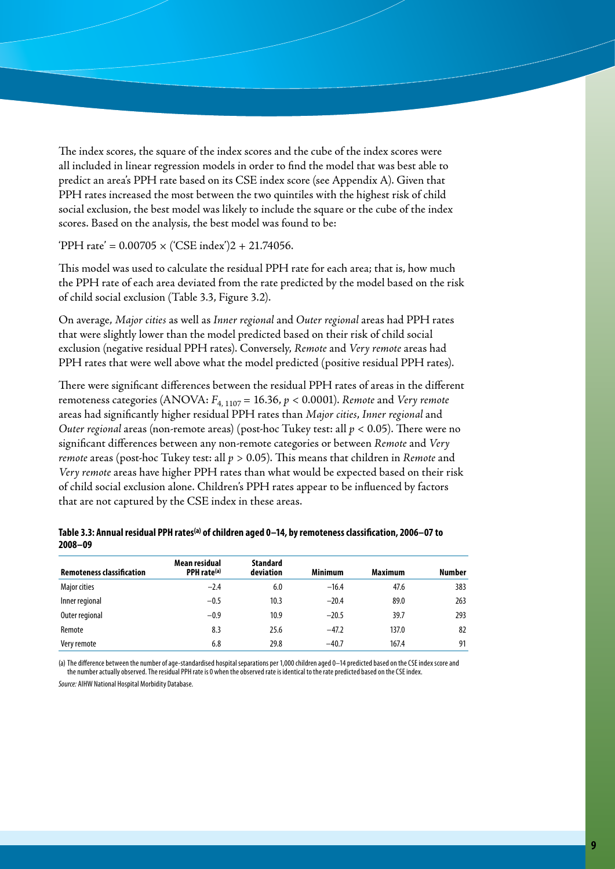The index scores, the square of the index scores and the cube of the index scores were all included in linear regression models in order to find the model that was best able to predict an area's PPH rate based on its CSE index score (see Appendix A). Given that PPH rates increased the most between the two quintiles with the highest risk of child social exclusion, the best model was likely to include the square or the cube of the index scores. Based on the analysis, the best model was found to be:

'PPH rate' =  $0.00705 \times$  ('CSE index')2 + 21.74056.

This model was used to calculate the residual PPH rate for each area; that is, how much the PPH rate of each area deviated from the rate predicted by the model based on the risk of child social exclusion (Table 3.3, Figure 3.2).

On average, *Major cities* as well as *Inner regional* and *Outer regional* areas had PPH rates that were slightly lower than the model predicted based on their risk of child social exclusion (negative residual PPH rates). Conversely, *Remote* and *Very remote* areas had PPH rates that were well above what the model predicted (positive residual PPH rates).

There were significant differences between the residual PPH rates of areas in the different remoteness categories (ANOVA:  $F_{4, 1107} = 16.36$ ,  $p < 0.0001$ ). *Remote* and *Very remote* areas had significantly higher residual PPH rates than *Major cities*, *Inner regional* and *Outer regional* areas (non-remote areas) (post-hoc Tukey test: all *p* < 0.05). There were no significant differences between any non-remote categories or between *Remote* and *Very remote* areas (post-hoc Tukey test: all *p* > 0.05). This means that children in *Remote* and *Very remote* areas have higher PPH rates than what would be expected based on their risk of child social exclusion alone. Children's PPH rates appear to be influenced by factors that are not captured by the CSE index in these areas.

| <b>Remoteness classification</b> | Mean residual<br>PPH rate <sup>(a)</sup> | <b>Standard</b><br>deviation | <b>Minimum</b> | <b>Maximum</b> | <b>Number</b> |
|----------------------------------|------------------------------------------|------------------------------|----------------|----------------|---------------|
| <b>Major cities</b>              | $-2.4$                                   | 6.0                          | $-16.4$        | 47.6           | 383           |
| Inner regional                   | $-0.5$                                   | 10.3                         | $-20.4$        | 89.0           | 263           |
| Outer regional                   | $-0.9$                                   | 10.9                         | $-20.5$        | 39.7           | 293           |
| Remote                           | 8.3                                      | 25.6                         | $-47.2$        | 137.0          | 82            |
| Very remote                      | 6.8                                      | 29.8                         | $-40.7$        | 167.4          | 91            |

| Table 3.3: Annual residual PPH rates <sup>(a)</sup> of children aged 0–14, by remoteness classification, 2006–07 to |  |
|---------------------------------------------------------------------------------------------------------------------|--|
| $2008 - 09$                                                                                                         |  |

(a) The difference between the number of age-standardised hospital separations per 1,000 children aged 0–14 predicted based on the CSE index score and the number actually observed. The residual PPH rate is 0 when the observed rate is identical to the rate predicted based on the CSE index.

*Source:* AIHW National Hospital Morbidity Database.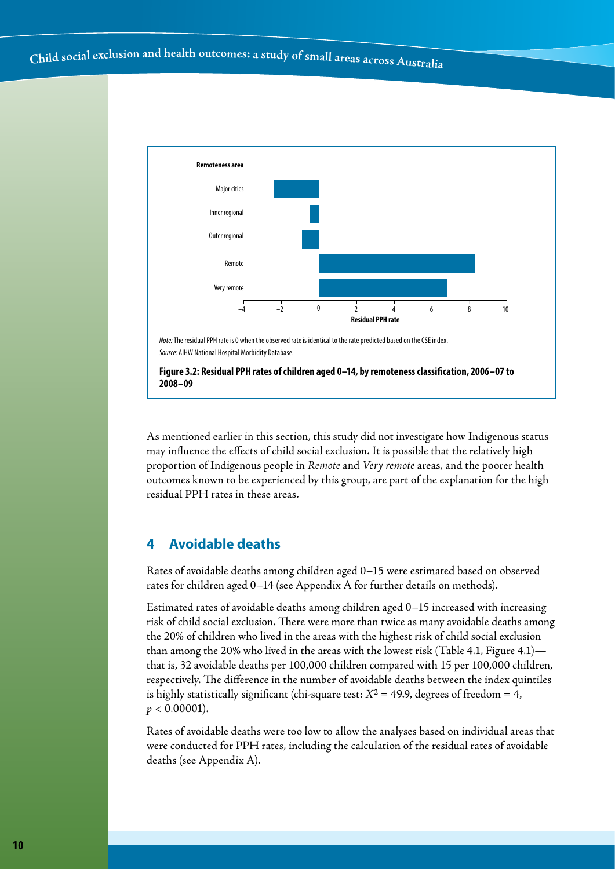

As mentioned earlier in this section, this study did not investigate how Indigenous status may influence the effects of child social exclusion. It is possible that the relatively high proportion of Indigenous people in *Remote* and *Very remote* areas, and the poorer health outcomes known to be experienced by this group, are part of the explanation for the high residual PPH rates in these areas.

# **4 Avoidable deaths**

Rates of avoidable deaths among children aged 0–15 were estimated based on observed rates for children aged 0–14 (see Appendix A for further details on methods).

Estimated rates of avoidable deaths among children aged 0–15 increased with increasing risk of child social exclusion. There were more than twice as many avoidable deaths among the 20% of children who lived in the areas with the highest risk of child social exclusion than among the 20% who lived in the areas with the lowest risk (Table 4.1, Figure 4.1) that is, 32 avoidable deaths per 100,000 children compared with 15 per 100,000 children, respectively. The difference in the number of avoidable deaths between the index quintiles is highly statistically significant (chi-square test:  $X^2 = 49.9$ , degrees of freedom = 4,  $p < 0.00001$ ).

Rates of avoidable deaths were too low to allow the analyses based on individual areas that were conducted for PPH rates, including the calculation of the residual rates of avoidable deaths (see Appendix A).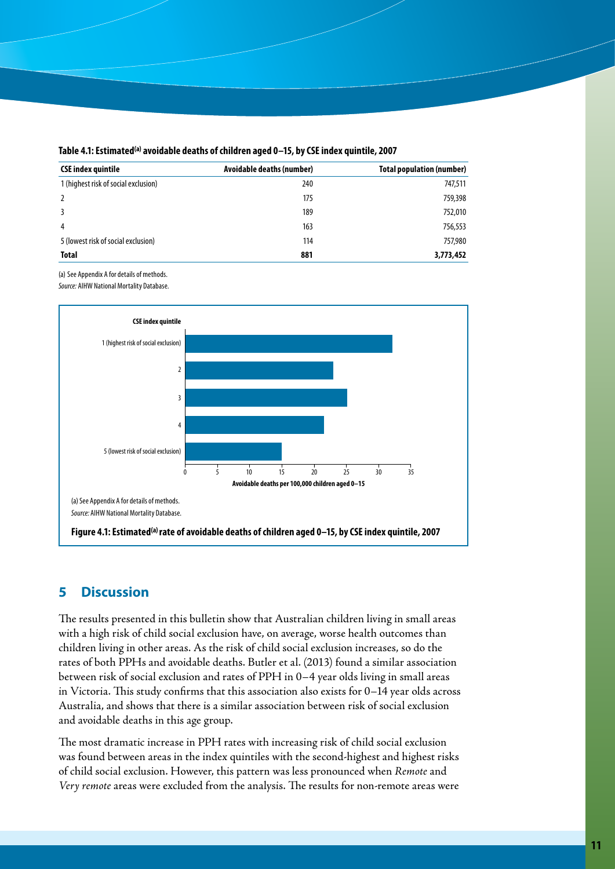| <b>CSE index quintile</b>            | Avoidable deaths (number) | <b>Total population (number)</b> |
|--------------------------------------|---------------------------|----------------------------------|
| 1 (highest risk of social exclusion) | 240                       | 747,511                          |
|                                      | 175                       | 759,398                          |
|                                      | 189                       | 752,010                          |
| 4                                    | 163                       | 756,553                          |
| 5 (lowest risk of social exclusion)  | 114                       | 757,980                          |
| <b>Total</b>                         | 881                       | 3,773,452                        |

Table 4.1: Estimated<sup>(a)</sup> avoidable deaths of children aged 0-15, by CSE index quintile, 2007

(a) See Appendix A for details of methods. *Source:* AIHW National Mortality Database.



# **5 Discussion**

The results presented in this bulletin show that Australian children living in small areas with a high risk of child social exclusion have, on average, worse health outcomes than children living in other areas. As the risk of child social exclusion increases, so do the rates of both PPHs and avoidable deaths. Butler et al. (2013) found a similar association between risk of social exclusion and rates of PPH in 0–4 year olds living in small areas in Victoria. This study confirms that this association also exists for 0–14 year olds across Australia, and shows that there is a similar association between risk of social exclusion and avoidable deaths in this age group.

The most dramatic increase in PPH rates with increasing risk of child social exclusion was found between areas in the index quintiles with the second-highest and highest risks of child social exclusion. However, this pattern was less pronounced when *Remote* and *Very remote* areas were excluded from the analysis. The results for non-remote areas were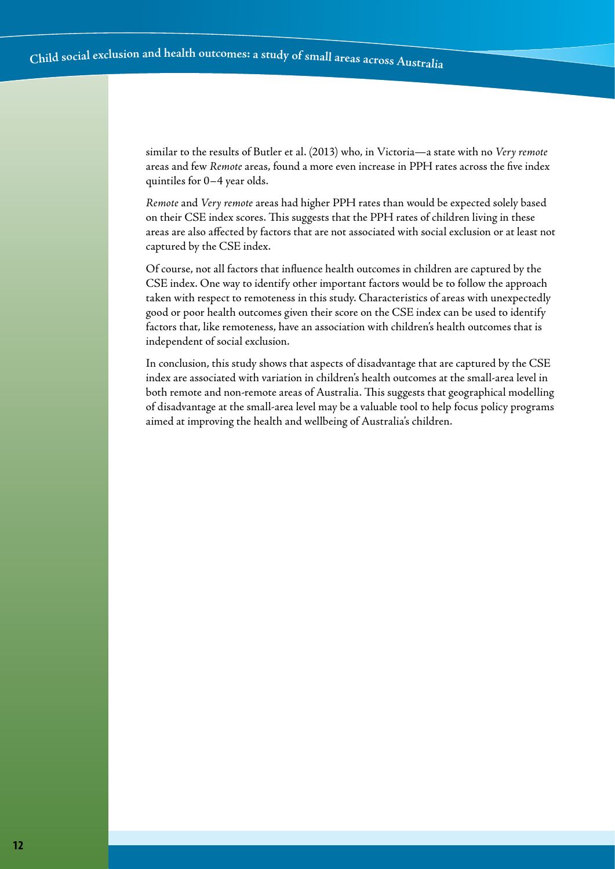similar to the results of Butler et al. (2013) who, in Victoria—a state with no *Very remote* areas and few *Remote* areas, found a more even increase in PPH rates across the five index quintiles for 0–4 year olds.

*Remote* and *Very remote* areas had higher PPH rates than would be expected solely based on their CSE index scores. This suggests that the PPH rates of children living in these areas are also affected by factors that are not associated with social exclusion or at least not captured by the CSE index.

Of course, not all factors that influence health outcomes in children are captured by the CSE index. One way to identify other important factors would be to follow the approach taken with respect to remoteness in this study. Characteristics of areas with unexpectedly good or poor health outcomes given their score on the CSE index can be used to identify factors that, like remoteness, have an association with children's health outcomes that is independent of social exclusion.

In conclusion, this study shows that aspects of disadvantage that are captured by the CSE index are associated with variation in children's health outcomes at the small-area level in both remote and non-remote areas of Australia. This suggests that geographical modelling of disadvantage at the small-area level may be a valuable tool to help focus policy programs aimed at improving the health and wellbeing of Australia's children.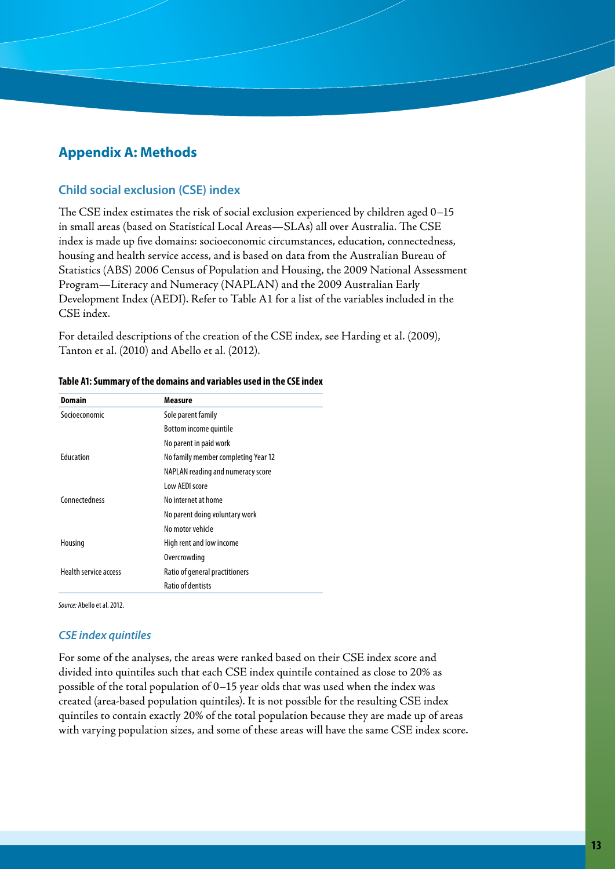# **Appendix A: Methods**

#### **Child social exclusion (CSE) index**

The CSE index estimates the risk of social exclusion experienced by children aged 0–15 in small areas (based on Statistical Local Areas—SLAs) all over Australia. The CSE index is made up five domains: socioeconomic circumstances, education, connectedness, housing and health service access, and is based on data from the Australian Bureau of Statistics (ABS) 2006 Census of Population and Housing, the 2009 National Assessment Program—Literacy and Numeracy (NAPLAN) and the 2009 Australian Early Development Index (AEDI). Refer to Table A1 for a list of the variables included in the CSE index.

For detailed descriptions of the creation of the CSE index, see Harding et al. (2009), Tanton et al. (2010) and Abello et al. (2012).

| Domain                       | Measure                             |
|------------------------------|-------------------------------------|
| Socioeconomic                | Sole parent family                  |
|                              | Bottom income quintile              |
|                              | No parent in paid work              |
| <b>Fducation</b>             | No family member completing Year 12 |
|                              | NAPLAN reading and numeracy score   |
|                              | Low AFDI score                      |
| Connectedness                | No internet at home                 |
|                              | No parent doing voluntary work      |
|                              | No motor vehicle                    |
| Housing                      | High rent and low income            |
|                              | Overcrowding                        |
| <b>Health service access</b> | Ratio of general practitioners      |
|                              | <b>Ratio of dentists</b>            |

#### **Table A1: Summary of the domains and variables used in the CSE index**

*Source:* Abello et al. 2012.

#### *CSE index quintiles*

For some of the analyses, the areas were ranked based on their CSE index score and divided into quintiles such that each CSE index quintile contained as close to 20% as possible of the total population of 0–15 year olds that was used when the index was created (area-based population quintiles). It is not possible for the resulting CSE index quintiles to contain exactly 20% of the total population because they are made up of areas with varying population sizes, and some of these areas will have the same CSE index score.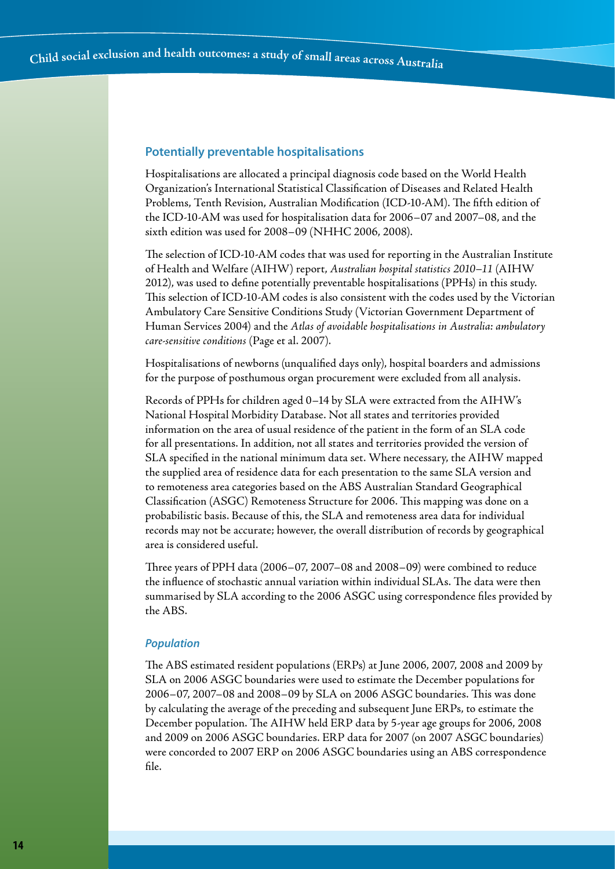#### **Potentially preventable hospitalisations**

Hospitalisations are allocated a principal diagnosis code based on the World Health Organization's International Statistical Classification of Diseases and Related Health Problems, Tenth Revision, Australian Modification (ICD-10-AM). The fifth edition of the ICD-10-AM was used for hospitalisation data for 2006–07 and 2007–08, and the sixth edition was used for 2008–09 (NHHC 2006, 2008).

The selection of ICD-10-AM codes that was used for reporting in the Australian Institute of Health and Welfare (AIHW) report, *Australian hospital statistics 2010–11* (AIHW 2012), was used to define potentially preventable hospitalisations (PPHs) in this study. This selection of ICD-10-AM codes is also consistent with the codes used by the Victorian Ambulatory Care Sensitive Conditions Study (Victorian Government Department of Human Services 2004) and the *Atlas of avoidable hospitalisations in Australia: ambulatory care-sensitive conditions* (Page et al. 2007).

Hospitalisations of newborns (unqualified days only), hospital boarders and admissions for the purpose of posthumous organ procurement were excluded from all analysis.

Records of PPHs for children aged 0–14 by SLA were extracted from the AIHW's National Hospital Morbidity Database. Not all states and territories provided information on the area of usual residence of the patient in the form of an SLA code for all presentations. In addition, not all states and territories provided the version of SLA specified in the national minimum data set. Where necessary, the AIHW mapped the supplied area of residence data for each presentation to the same SLA version and to remoteness area categories based on the ABS Australian Standard Geographical Classification (ASGC) Remoteness Structure for 2006. This mapping was done on a probabilistic basis. Because of this, the SLA and remoteness area data for individual records may not be accurate; however, the overall distribution of records by geographical area is considered useful.

Three years of PPH data (2006–07, 2007–08 and 2008–09) were combined to reduce the influence of stochastic annual variation within individual SLAs. The data were then summarised by SLA according to the 2006 ASGC using correspondence files provided by the ABS.

#### *Population*

The ABS estimated resident populations (ERPs) at June 2006, 2007, 2008 and 2009 by SLA on 2006 ASGC boundaries were used to estimate the December populations for 2006–07, 2007–08 and 2008–09 by SLA on 2006 ASGC boundaries. This was done by calculating the average of the preceding and subsequent June ERPs, to estimate the December population. The AIHW held ERP data by 5-year age groups for 2006, 2008 and 2009 on 2006 ASGC boundaries. ERP data for 2007 (on 2007 ASGC boundaries) were concorded to 2007 ERP on 2006 ASGC boundaries using an ABS correspondence file.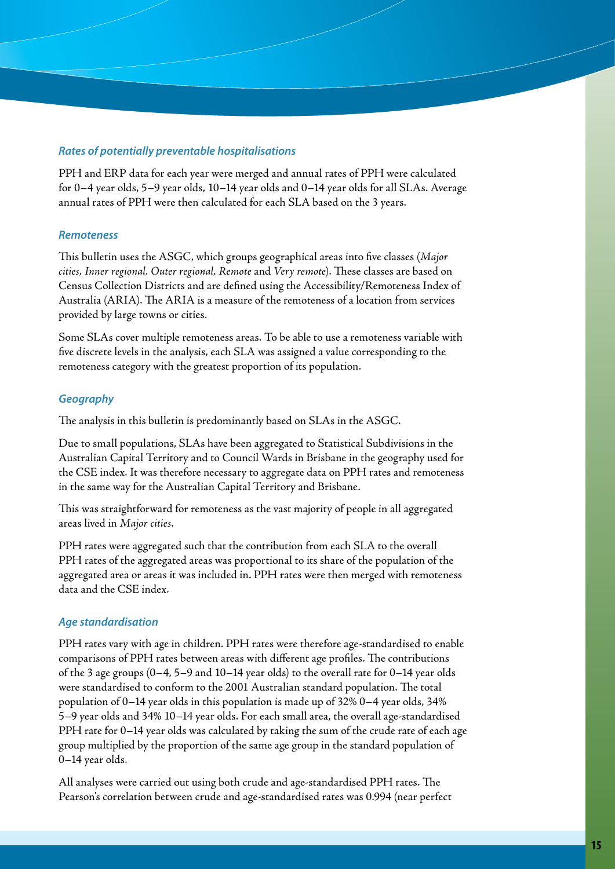#### *Rates of potentially preventable hospitalisations*

PPH and ERP data for each year were merged and annual rates of PPH were calculated for 0–4 year olds, 5–9 year olds, 10–14 year olds and 0–14 year olds for all SLAs. Average annual rates of PPH were then calculated for each SLA based on the 3 years.

#### *Remoteness*

This bulletin uses the ASGC, which groups geographical areas into five classes (*Major cities, Inner regional, Outer regional, Remote* and *Very remote*). These classes are based on Census Collection Districts and are defined using the Accessibility/Remoteness Index of Australia (ARIA). The ARIA is a measure of the remoteness of a location from services provided by large towns or cities.

Some SLAs cover multiple remoteness areas. To be able to use a remoteness variable with five discrete levels in the analysis, each SLA was assigned a value corresponding to the remoteness category with the greatest proportion of its population.

#### *Geography*

The analysis in this bulletin is predominantly based on SLAs in the ASGC.

Due to small populations, SLAs have been aggregated to Statistical Subdivisions in the Australian Capital Territory and to Council Wards in Brisbane in the geography used for the CSE index. It was therefore necessary to aggregate data on PPH rates and remoteness in the same way for the Australian Capital Territory and Brisbane.

This was straightforward for remoteness as the vast majority of people in all aggregated areas lived in *Major cities*.

PPH rates were aggregated such that the contribution from each SLA to the overall PPH rates of the aggregated areas was proportional to its share of the population of the aggregated area or areas it was included in. PPH rates were then merged with remoteness data and the CSE index.

#### *Age standardisation*

PPH rates vary with age in children. PPH rates were therefore age-standardised to enable comparisons of PPH rates between areas with different age profiles. The contributions of the 3 age groups (0–4, 5–9 and 10–14 year olds) to the overall rate for 0–14 year olds were standardised to conform to the 2001 Australian standard population. The total population of 0–14 year olds in this population is made up of 32% 0–4 year olds, 34% 5–9 year olds and 34% 10–14 year olds. For each small area, the overall age-standardised PPH rate for 0–14 year olds was calculated by taking the sum of the crude rate of each age group multiplied by the proportion of the same age group in the standard population of 0–14 year olds.

All analyses were carried out using both crude and age-standardised PPH rates. The Pearson's correlation between crude and age-standardised rates was 0.994 (near perfect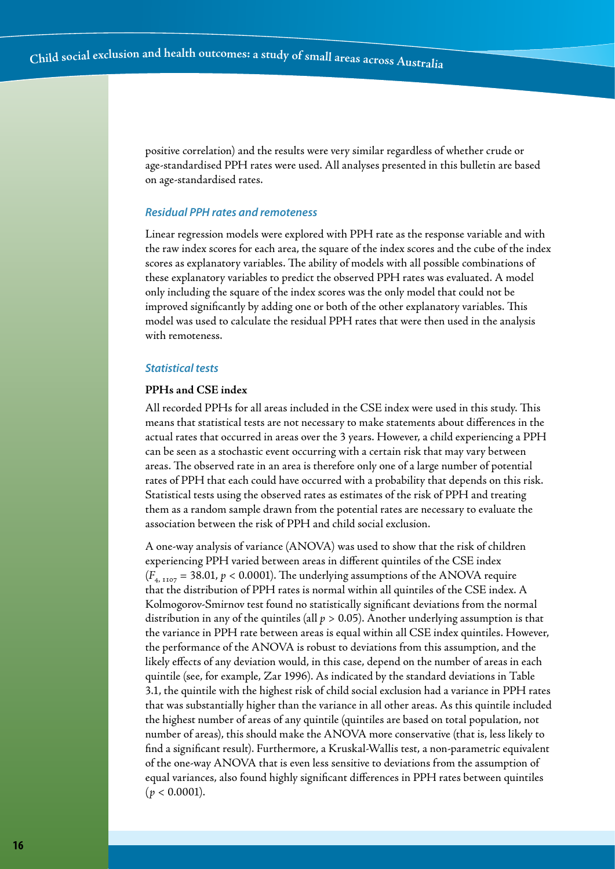positive correlation) and the results were very similar regardless of whether crude or age-standardised PPH rates were used. All analyses presented in this bulletin are based on age-standardised rates.

#### *Residual PPH rates and remoteness*

Linear regression models were explored with PPH rate as the response variable and with the raw index scores for each area, the square of the index scores and the cube of the index scores as explanatory variables. The ability of models with all possible combinations of these explanatory variables to predict the observed PPH rates was evaluated. A model only including the square of the index scores was the only model that could not be improved significantly by adding one or both of the other explanatory variables. This model was used to calculate the residual PPH rates that were then used in the analysis with remoteness.

#### *Statistical tests*

#### **PPHs and CSE index**

All recorded PPHs for all areas included in the CSE index were used in this study. This means that statistical tests are not necessary to make statements about differences in the actual rates that occurred in areas over the 3 years. However, a child experiencing a PPH can be seen as a stochastic event occurring with a certain risk that may vary between areas. The observed rate in an area is therefore only one of a large number of potential rates of PPH that each could have occurred with a probability that depends on this risk. Statistical tests using the observed rates as estimates of the risk of PPH and treating them as a random sample drawn from the potential rates are necessary to evaluate the association between the risk of PPH and child social exclusion.

A one-way analysis of variance (ANOVA) was used to show that the risk of children experiencing PPH varied between areas in different quintiles of the CSE index  $(F_{4, 1107} = 38.01, p < 0.0001)$ . The underlying assumptions of the ANOVA require that the distribution of PPH rates is normal within all quintiles of the CSE index. A Kolmogorov-Smirnov test found no statistically significant deviations from the normal distribution in any of the quintiles (all  $p > 0.05$ ). Another underlying assumption is that the variance in PPH rate between areas is equal within all CSE index quintiles. However, the performance of the ANOVA is robust to deviations from this assumption, and the likely effects of any deviation would, in this case, depend on the number of areas in each quintile (see, for example, Zar 1996). As indicated by the standard deviations in Table 3.1, the quintile with the highest risk of child social exclusion had a variance in PPH rates that was substantially higher than the variance in all other areas. As this quintile included the highest number of areas of any quintile (quintiles are based on total population, not number of areas), this should make the ANOVA more conservative (that is, less likely to find a significant result). Furthermore, a Kruskal-Wallis test, a non-parametric equivalent of the one-way ANOVA that is even less sensitive to deviations from the assumption of equal variances, also found highly significant differences in PPH rates between quintiles  $(p < 0.0001)$ .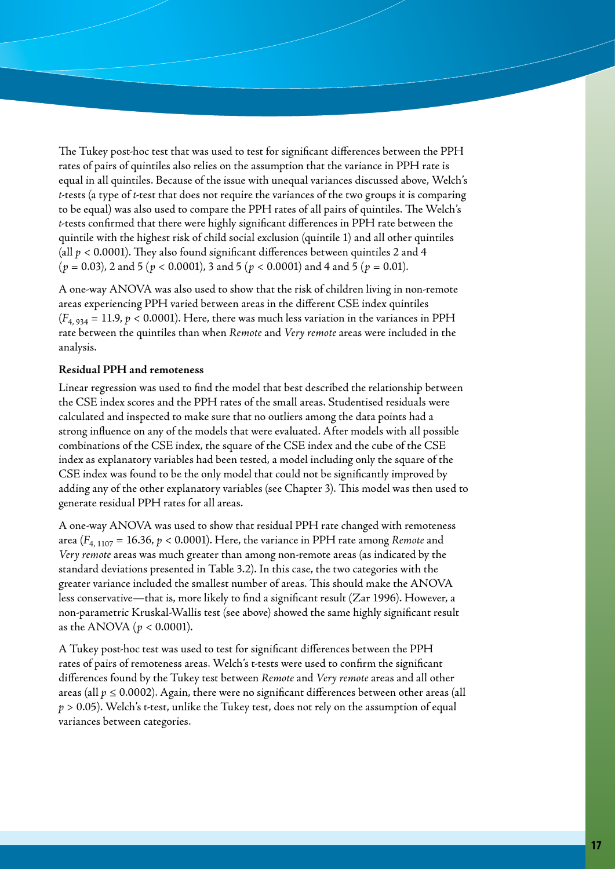The Tukey post-hoc test that was used to test for significant differences between the PPH rates of pairs of quintiles also relies on the assumption that the variance in PPH rate is equal in all quintiles. Because of the issue with unequal variances discussed above, Welch's *t*-tests (a type of *t*-test that does not require the variances of the two groups it is comparing to be equal) was also used to compare the PPH rates of all pairs of quintiles. The Welch's *t*-tests confirmed that there were highly significant differences in PPH rate between the quintile with the highest risk of child social exclusion (quintile 1) and all other quintiles (all *p* < 0.0001). They also found significant differences between quintiles 2 and 4 (*p* = 0.03), 2 and 5 (*p* < 0.0001), 3 and 5 (*p* < 0.0001) and 4 and 5 (*p* = 0.01).

A one-way ANOVA was also used to show that the risk of children living in non-remote areas experiencing PPH varied between areas in the different CSE index quintiles  $(F_{4, 934} = 11.9, p < 0.0001)$ . Here, there was much less variation in the variances in PPH rate between the quintiles than when *Remote* and *Very remote* areas were included in the analysis.

#### **Residual PPH and remoteness**

Linear regression was used to find the model that best described the relationship between the CSE index scores and the PPH rates of the small areas. Studentised residuals were calculated and inspected to make sure that no outliers among the data points had a strong influence on any of the models that were evaluated. After models with all possible combinations of the CSE index, the square of the CSE index and the cube of the CSE index as explanatory variables had been tested, a model including only the square of the CSE index was found to be the only model that could not be significantly improved by adding any of the other explanatory variables (see Chapter 3). This model was then used to generate residual PPH rates for all areas.

A one-way ANOVA was used to show that residual PPH rate changed with remoteness area  $(F_{4,1107} = 16.36, p < 0.0001)$ . Here, the variance in PPH rate among *Remote* and *Very remote* areas was much greater than among non-remote areas (as indicated by the standard deviations presented in Table 3.2). In this case, the two categories with the greater variance included the smallest number of areas. This should make the ANOVA less conservative—that is, more likely to find a significant result (Zar 1996). However, a non-parametric Kruskal-Wallis test (see above) showed the same highly significant result as the ANOVA (*p* < 0.0001).

A Tukey post-hoc test was used to test for significant differences between the PPH rates of pairs of remoteness areas. Welch's t-tests were used to confirm the significant differences found by the Tukey test between *Remote* and *Very remote* areas and all other areas (all  $p \leq 0.0002$ ). Again, there were no significant differences between other areas (all *p* > 0.05). Welch's t-test, unlike the Tukey test, does not rely on the assumption of equal variances between categories.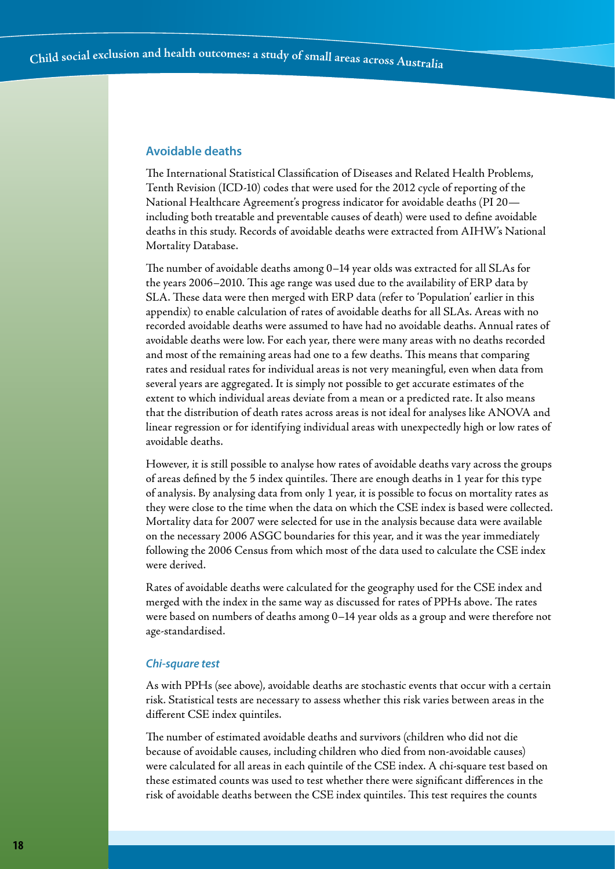#### **Avoidable deaths**

The International Statistical Classification of Diseases and Related Health Problems, Tenth Revision (ICD-10) codes that were used for the 2012 cycle of reporting of the National Healthcare Agreement's progress indicator for avoidable deaths (PI 20 including both treatable and preventable causes of death) were used to define avoidable deaths in this study. Records of avoidable deaths were extracted from AIHW's National Mortality Database.

The number of avoidable deaths among 0–14 year olds was extracted for all SLAs for the years 2006–2010. This age range was used due to the availability of ERP data by SLA. These data were then merged with ERP data (refer to 'Population' earlier in this appendix) to enable calculation of rates of avoidable deaths for all SLAs. Areas with no recorded avoidable deaths were assumed to have had no avoidable deaths. Annual rates of avoidable deaths were low. For each year, there were many areas with no deaths recorded and most of the remaining areas had one to a few deaths. This means that comparing rates and residual rates for individual areas is not very meaningful, even when data from several years are aggregated. It is simply not possible to get accurate estimates of the extent to which individual areas deviate from a mean or a predicted rate. It also means that the distribution of death rates across areas is not ideal for analyses like ANOVA and linear regression or for identifying individual areas with unexpectedly high or low rates of avoidable deaths.

However, it is still possible to analyse how rates of avoidable deaths vary across the groups of areas defined by the 5 index quintiles. There are enough deaths in 1 year for this type of analysis. By analysing data from only 1 year, it is possible to focus on mortality rates as they were close to the time when the data on which the CSE index is based were collected. Mortality data for 2007 were selected for use in the analysis because data were available on the necessary 2006 ASGC boundaries for this year, and it was the year immediately following the 2006 Census from which most of the data used to calculate the CSE index were derived.

Rates of avoidable deaths were calculated for the geography used for the CSE index and merged with the index in the same way as discussed for rates of PPHs above. The rates were based on numbers of deaths among 0–14 year olds as a group and were therefore not age-standardised.

#### *Chi-square test*

As with PPHs (see above), avoidable deaths are stochastic events that occur with a certain risk. Statistical tests are necessary to assess whether this risk varies between areas in the different CSE index quintiles.

The number of estimated avoidable deaths and survivors (children who did not die because of avoidable causes, including children who died from non-avoidable causes) were calculated for all areas in each quintile of the CSE index. A chi-square test based on these estimated counts was used to test whether there were significant differences in the risk of avoidable deaths between the CSE index quintiles. This test requires the counts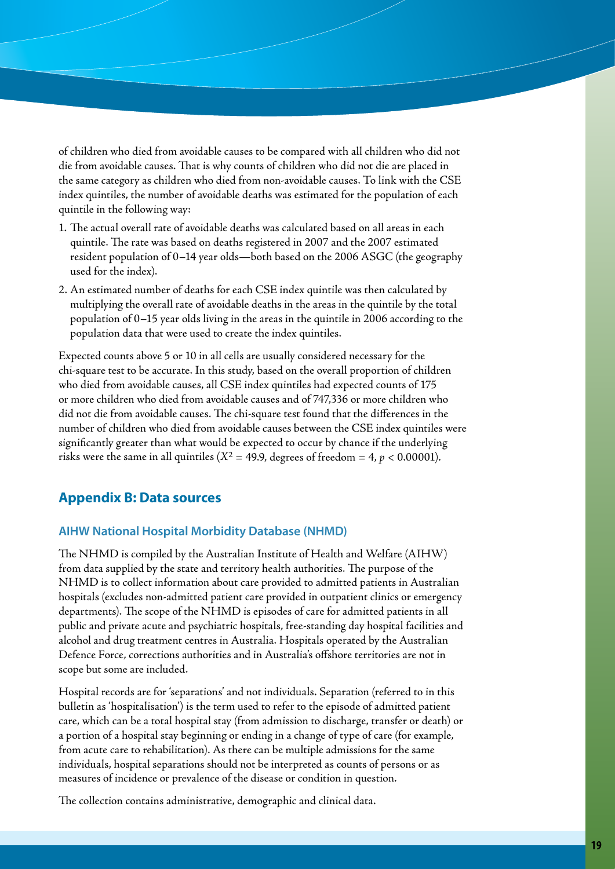of children who died from avoidable causes to be compared with all children who did not die from avoidable causes. That is why counts of children who did not die are placed in the same category as children who died from non-avoidable causes. To link with the CSE index quintiles, the number of avoidable deaths was estimated for the population of each quintile in the following way:

- 1. The actual overall rate of avoidable deaths was calculated based on all areas in each quintile. The rate was based on deaths registered in 2007 and the 2007 estimated resident population of 0–14 year olds—both based on the 2006 ASGC (the geography used for the index).
- 2. An estimated number of deaths for each CSE index quintile was then calculated by multiplying the overall rate of avoidable deaths in the areas in the quintile by the total population of 0–15 year olds living in the areas in the quintile in 2006 according to the population data that were used to create the index quintiles.

Expected counts above 5 or 10 in all cells are usually considered necessary for the chi-square test to be accurate. In this study, based on the overall proportion of children who died from avoidable causes, all CSE index quintiles had expected counts of 175 or more children who died from avoidable causes and of 747,336 or more children who did not die from avoidable causes. The chi-square test found that the differences in the number of children who died from avoidable causes between the CSE index quintiles were significantly greater than what would be expected to occur by chance if the underlying risks were the same in all quintiles ( $X^2 = 49.9$ , degrees of freedom = 4,  $p < 0.00001$ ).

# **Appendix B: Data sources**

#### **AIHW National Hospital Morbidity Database (NHMD)**

The NHMD is compiled by the Australian Institute of Health and Welfare (AIHW) from data supplied by the state and territory health authorities. The purpose of the NHMD is to collect information about care provided to admitted patients in Australian hospitals (excludes non-admitted patient care provided in outpatient clinics or emergency departments). The scope of the NHMD is episodes of care for admitted patients in all public and private acute and psychiatric hospitals, free-standing day hospital facilities and alcohol and drug treatment centres in Australia. Hospitals operated by the Australian Defence Force, corrections authorities and in Australia's offshore territories are not in scope but some are included.

Hospital records are for 'separations' and not individuals. Separation (referred to in this bulletin as 'hospitalisation') is the term used to refer to the episode of admitted patient care, which can be a total hospital stay (from admission to discharge, transfer or death) or a portion of a hospital stay beginning or ending in a change of type of care (for example, from acute care to rehabilitation). As there can be multiple admissions for the same individuals, hospital separations should not be interpreted as counts of persons or as measures of incidence or prevalence of the disease or condition in question.

The collection contains administrative, demographic and clinical data.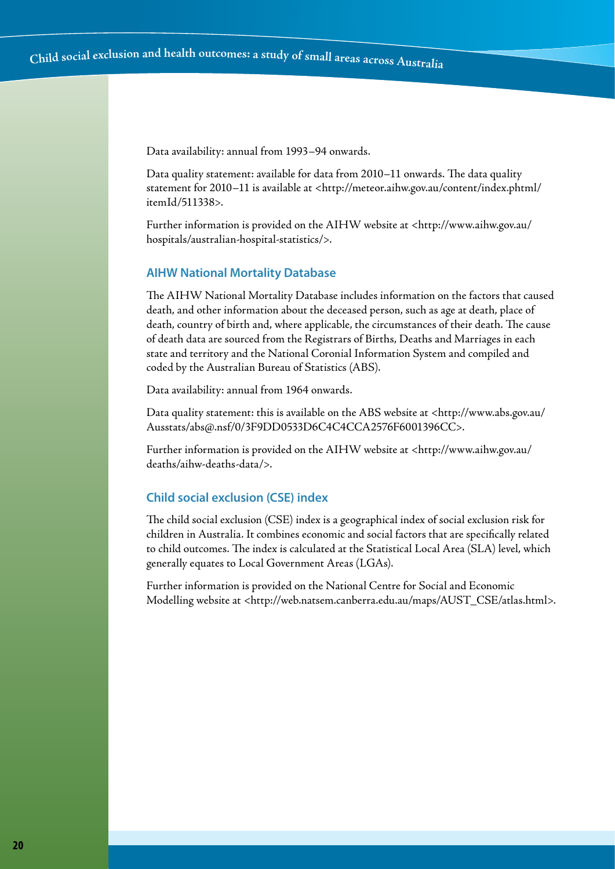Data availability: annual from 1993–94 onwards.

Data quality statement: available for data from 2010–11 onwards. The data quality statement for 2010–11 is available at <http://meteor.aihw.gov.au/content/index.phtml/ itemId/511338>.

Further information is provided on the AIHW website at <http://www.aihw.gov.au/ hospitals/australian-hospital-statistics/>.

#### **AIHW National Mortality Database**

The AIHW National Mortality Database includes information on the factors that caused death, and other information about the deceased person, such as age at death, place of death, country of birth and, where applicable, the circumstances of their death. The cause of death data are sourced from the Registrars of Births, Deaths and Marriages in each state and territory and the National Coronial Information System and compiled and coded by the Australian Bureau of Statistics (ABS).

Data availability: annual from 1964 onwards.

Data quality statement: this is available on the ABS website at <http://www.abs.gov.au/ Ausstats/abs@.nsf/0/3F9DD0533D6C4C4CCA2576F6001396CC>.

Further information is provided on the AIHW website at <http://www.aihw.gov.au/ deaths/aihw-deaths-data/>.

#### **Child social exclusion (CSE) index**

The child social exclusion (CSE) index is a geographical index of social exclusion risk for children in Australia. It combines economic and social factors that are specifically related to child outcomes. The index is calculated at the Statistical Local Area (SLA) level, which generally equates to Local Government Areas (LGAs).

Further information is provided on the National Centre for Social and Economic Modelling website at <http://web.natsem.canberra.edu.au/maps/AUST\_CSE/atlas.html>.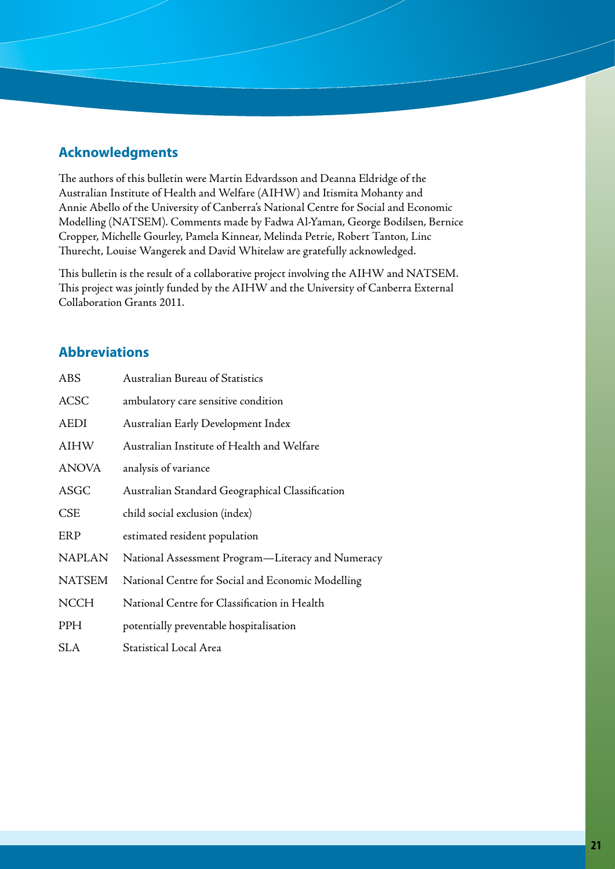# **Acknowledgments**

The authors of this bulletin were Martin Edvardsson and Deanna Eldridge of the Australian Institute of Health and Welfare (AIHW) and Itismita Mohanty and Annie Abello of the University of Canberra's National Centre for Social and Economic Modelling (NATSEM). Comments made by Fadwa Al-Yaman, George Bodilsen, Bernice Cropper, Michelle Gourley, Pamela Kinnear, Melinda Petrie, Robert Tanton, Linc Thurecht, Louise Wangerek and David Whitelaw are gratefully acknowledged.

This bulletin is the result of a collaborative project involving the AIHW and NATSEM. This project was jointly funded by the AIHW and the University of Canberra External Collaboration Grants 2011.

# **Abbreviations**

| ABS           | <b>Australian Bureau of Statistics</b>            |
|---------------|---------------------------------------------------|
| <b>ACSC</b>   | ambulatory care sensitive condition               |
| AEDI          | Australian Early Development Index                |
| <b>AIHW</b>   | Australian Institute of Health and Welfare        |
| <b>ANOVA</b>  | analysis of variance                              |
| ASGC          | Australian Standard Geographical Classification   |
| <b>CSE</b>    | child social exclusion (index)                    |
| ERP           | estimated resident population                     |
| <b>NAPLAN</b> | National Assessment Program-Literacy and Numeracy |
| <b>NATSEM</b> | National Centre for Social and Economic Modelling |
| <b>NCCH</b>   | National Centre for Classification in Health      |
| <b>PPH</b>    | potentially preventable hospitalisation           |
| <b>SLA</b>    | <b>Statistical Local Area</b>                     |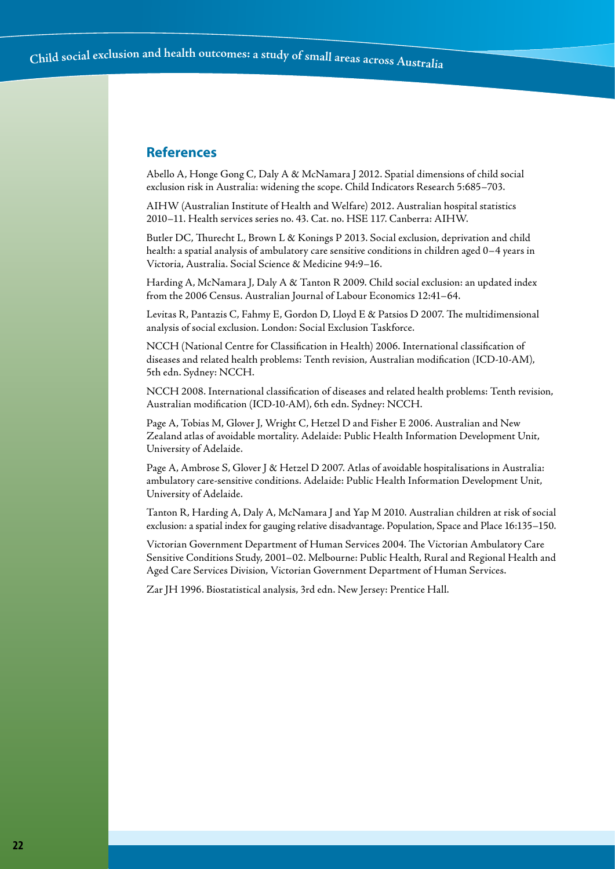## **References**

Abello A, Honge Gong C, Daly A & McNamara J 2012. Spatial dimensions of child social exclusion risk in Australia: widening the scope. Child Indicators Research 5:685–703.

AIHW (Australian Institute of Health and Welfare) 2012. Australian hospital statistics 2010–11. Health services series no. 43. Cat. no. HSE 117. Canberra: AIHW.

Butler DC, Thurecht L, Brown L & Konings P 2013. Social exclusion, deprivation and child health: a spatial analysis of ambulatory care sensitive conditions in children aged 0–4 years in Victoria, Australia. Social Science & Medicine 94:9–16.

Harding A, McNamara J, Daly A & Tanton R 2009. Child social exclusion: an updated index from the 2006 Census. Australian Journal of Labour Economics 12:41–64.

Levitas R, Pantazis C, Fahmy E, Gordon D, Lloyd E & Patsios D 2007. The multidimensional analysis of social exclusion. London: Social Exclusion Taskforce.

NCCH (National Centre for Classification in Health) 2006. International classification of diseases and related health problems: Tenth revision, Australian modification (ICD-10-AM), 5th edn. Sydney: NCCH.

NCCH 2008. International classification of diseases and related health problems: Tenth revision, Australian modification (ICD-10-AM), 6th edn. Sydney: NCCH.

Page A, Tobias M, Glover J, Wright C, Hetzel D and Fisher E 2006. Australian and New Zealand atlas of avoidable mortality. Adelaide: Public Health Information Development Unit, University of Adelaide.

Page A, Ambrose S, Glover J & Hetzel D 2007. Atlas of avoidable hospitalisations in Australia: ambulatory care-sensitive conditions. Adelaide: Public Health Information Development Unit, University of Adelaide.

Tanton R, Harding A, Daly A, McNamara J and Yap M 2010. Australian children at risk of social exclusion: a spatial index for gauging relative disadvantage. Population, Space and Place 16:135–150.

Victorian Government Department of Human Services 2004. The Victorian Ambulatory Care Sensitive Conditions Study, 2001–02. Melbourne: Public Health, Rural and Regional Health and Aged Care Services Division, Victorian Government Department of Human Services.

Zar JH 1996. Biostatistical analysis, 3rd edn. New Jersey: Prentice Hall.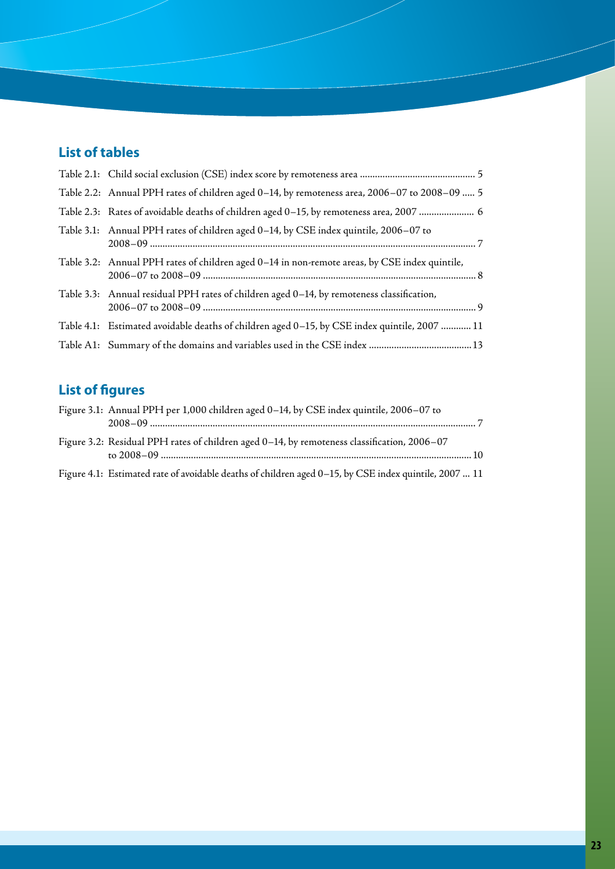# **List of tables**

| Table 2.2: Annual PPH rates of children aged 0-14, by remoteness area, 2006-07 to 2008-09  5  |
|-----------------------------------------------------------------------------------------------|
| Table 2.3: Rates of avoidable deaths of children aged 0-15, by remoteness area, 2007  6       |
| Table 3.1: Annual PPH rates of children aged 0–14, by CSE index quintile, 2006–07 to          |
| Table 3.2: Annual PPH rates of children aged 0-14 in non-remote areas, by CSE index quintile, |
| Table 3.3: Annual residual PPH rates of children aged 0-14, by remoteness classification,     |
| Table 4.1: Estimated avoidable deaths of children aged 0-15, by CSE index quintile, 2007  11  |
|                                                                                               |

# **List of figures**

| Figure 3.1: Annual PPH per 1,000 children aged 0–14, by CSE index quintile, 2006–07 to                |
|-------------------------------------------------------------------------------------------------------|
| Figure 3.2: Residual PPH rates of children aged 0-14, by remoteness classification, 2006-07           |
| Figure 4.1: Estimated rate of avoidable deaths of children aged 0-15, by CSE index quintile, 2007  11 |